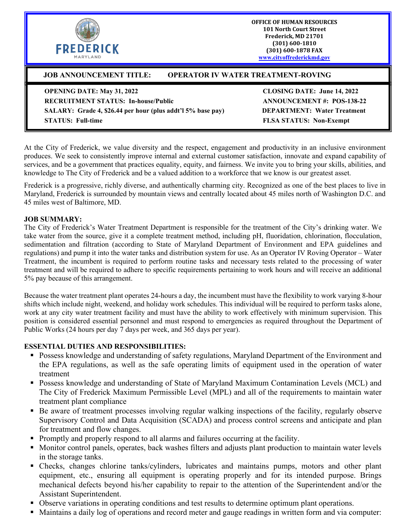

**OFFICE OF HUMAN RESOURCES 101 North Court Street Frederick, MD 21701 (301) 600-1810 (301) 600-1878 FAX [www.cityoffrederickmd.gov](http://www.cityoffrederickmd.gov/)**

# **JOB ANNOUNCEMENT TITLE: OPERATOR IV WATER TREATMENT-ROVING**

**OPENING DATE: May 31, 2022 CLOSING DATE: June 14, 2022**

**RECRUITMENT STATUS: In-house/Public ANNOUNCEMENT #: POS-138-22 SALARY: Grade 4, \$26.44 per hour (plus addt'l 5% base pay) DEPARTMENT: Water Treatment STATUS: Full-time FLSA STATUS: Non-Exempt**

At the City of Frederick, we value diversity and the respect, engagement and productivity in an inclusive environment produces. We seek to consistently improve internal and external customer satisfaction, innovate and expand capability of services, and be a government that practices equality, equity, and fairness. We invite you to bring your skills, abilities, and knowledge to The City of Frederick and be a valued addition to a workforce that we know is our greatest asset.

Frederick is a progressive, richly diverse, and authentically charming city. Recognized as one of the best places to live in Maryland, Frederick is surrounded by mountain views and centrally located about 45 miles north of Washington D.C. and 45 miles west of Baltimore, MD.

#### **JOB SUMMARY:**

The City of Frederick's Water Treatment Department is responsible for the treatment of the City's drinking water. We take water from the source, give it a complete treatment method, including pH, fluoridation, chlorination, flocculation, sedimentation and filtration (according to State of Maryland Department of Environment and EPA guidelines and regulations) and pump it into the water tanks and distribution system for use. As an Operator IV Roving Operator – Water Treatment, the incumbent is required to perform routine tasks and necessary tests related to the processing of water treatment and will be required to adhere to specific requirements pertaining to work hours and will receive an additional 5% pay because of this arrangement.

Because the water treatment plant operates 24-hours a day, the incumbent must have the flexibility to work varying 8-hour shifts which include night, weekend, and holiday work schedules. This individual will be required to perform tasks alone, work at any city water treatment facility and must have the ability to work effectively with minimum supervision. This position is considered essential personnel and must respond to emergencies as required throughout the Department of Public Works (24 hours per day 7 days per week, and 365 days per year).

#### **ESSENTIAL DUTIES AND RESPONSIBILITIES:**

- Possess knowledge and understanding of safety regulations, Maryland Department of the Environment and the EPA regulations, as well as the safe operating limits of equipment used in the operation of water treatment
- **Possess knowledge and understanding of State of Maryland Maximum Contamination Levels (MCL) and** The City of Frederick Maximum Permissible Level (MPL) and all of the requirements to maintain water treatment plant compliance
- Be aware of treatment processes involving regular walking inspections of the facility, regularly observe Supervisory Control and Data Acquisition (SCADA) and process control screens and anticipate and plan for treatment and flow changes.
- Promptly and properly respond to all alarms and failures occurring at the facility.
- Monitor control panels, operates, back washes filters and adjusts plant production to maintain water levels in the storage tanks.
- Checks, changes chlorine tanks/cylinders, lubricates and maintains pumps, motors and other plant equipment, etc., ensuring all equipment is operating properly and for its intended purpose. Brings mechanical defects beyond his/her capability to repair to the attention of the Superintendent and/or the Assistant Superintendent.
- Observe variations in operating conditions and test results to determine optimum plant operations.
- Maintains a daily log of operations and record meter and gauge readings in written form and via computer: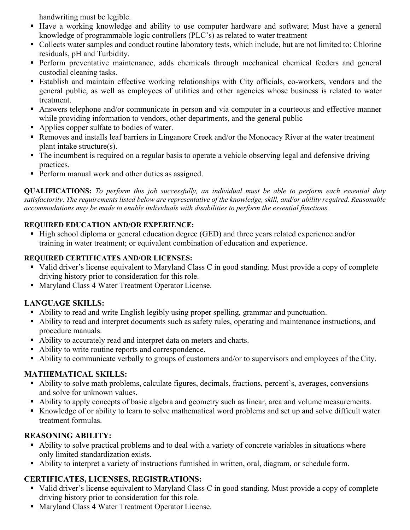handwriting must be legible.

- Have a working knowledge and ability to use computer hardware and software; Must have a general knowledge of programmable logic controllers (PLC's) as related to water treatment
- Collects water samples and conduct routine laboratory tests, which include, but are not limited to: Chlorine residuals, pH and Turbidity.
- **Perform preventative maintenance, adds chemicals through mechanical chemical feeders and general** custodial cleaning tasks.
- Establish and maintain effective working relationships with City officials, co-workers, vendors and the general public, as well as employees of utilities and other agencies whose business is related to water treatment.
- Answers telephone and/or communicate in person and via computer in a courteous and effective manner while providing information to vendors, other departments, and the general public
- Applies copper sulfate to bodies of water.
- Removes and installs leaf barriers in Linganore Creek and/or the Monocacy River at the water treatment plant intake structure(s).
- The incumbent is required on a regular basis to operate a vehicle observing legal and defensive driving practices.
- **Perform manual work and other duties as assigned.**

**QUALIFICATIONS:** *To perform this job successfully, an individual must be able to perform each essential duty satisfactorily. The requirements listed below are representative of the knowledge, skill, and/or ability required. Reasonable accommodations may be made to enable individuals with disabilities to perform the essential functions.*

#### **REQUIRED EDUCATION AND/OR EXPERIENCE:**

■ High school diploma or general education degree (GED) and three years related experience and/or training in water treatment; or equivalent combination of education and experience.

#### **REQUIRED CERTIFICATES AND/OR LICENSES:**

- Valid driver's license equivalent to Maryland Class C in good standing. Must provide a copy of complete driving history prior to consideration for this role.
- Maryland Class 4 Water Treatment Operator License.

## **LANGUAGE SKILLS:**

- Ability to read and write English legibly using proper spelling, grammar and punctuation.
- Ability to read and interpret documents such as safety rules, operating and maintenance instructions, and procedure manuals.
- Ability to accurately read and interpret data on meters and charts.
- Ability to write routine reports and correspondence.
- Ability to communicate verbally to groups of customers and/or to supervisors and employees of the City.

## **MATHEMATICAL SKILLS:**

- Ability to solve math problems, calculate figures, decimals, fractions, percent's, averages, conversions and solve for unknown values.
- Ability to apply concepts of basic algebra and geometry such as linear, area and volume measurements.
- Knowledge of or ability to learn to solve mathematical word problems and set up and solve difficult water treatment formulas.

## **REASONING ABILITY:**

- Ability to solve practical problems and to deal with a variety of concrete variables in situations where only limited standardization exists.
- Ability to interpret a variety of instructions furnished in written, oral, diagram, or schedule form.

## **CERTIFICATES, LICENSES, REGISTRATIONS:**

- Valid driver's license equivalent to Maryland Class C in good standing. Must provide a copy of complete driving history prior to consideration for this role.
- Maryland Class 4 Water Treatment Operator License.